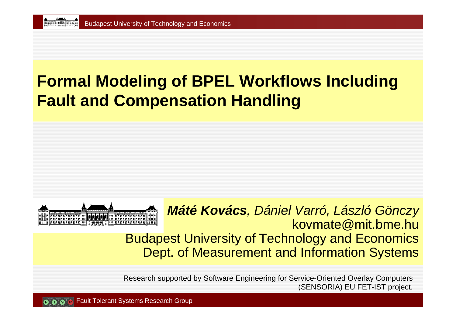#### **Formal Modeling of BPEL Workflows Including Fault and Compensation Handling**



*Máté Kovács, Dániel Varró, László Gönczy* kovmate@mit.bme.hu Budapest University of Technology and Economics Dept. of Measurement and Information Systems

Research supported by Software Engineering for Service-Oriented Overlay Computers (SENSORIA) EU FET-IST project.

Fault Tolerant Systems Research Group o o o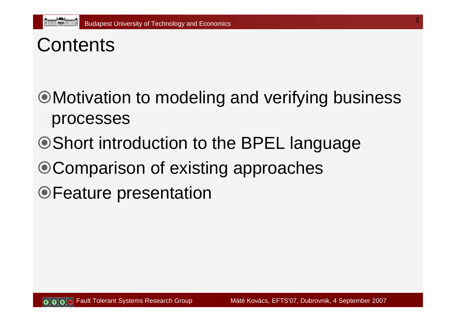# **Contents**

Motivation to modeling and verifying business processes

- Short introduction to the BPEL language
- Comparison of existing approaches
- Feature presentation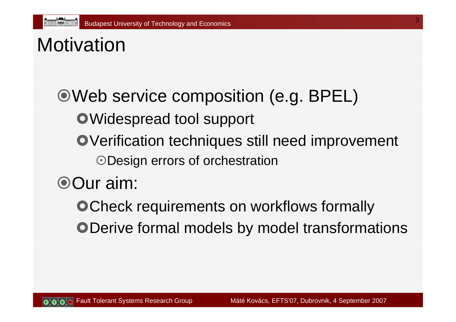# **Motivation**

Web service composition (e.g. BPEL) **•Widespread tool support OVerification techniques still need improvement** Design errors of orchestration Our aim:

**OCheck requirements on workflows formally ODerive formal models by model transformations**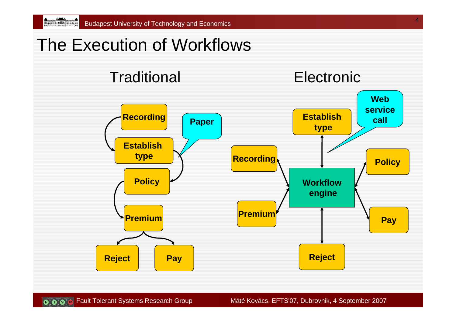#### The Execution of Workflows



**O O Fault Tolerant Systems Research Group Máté Kovács, EFTS'07, Dubrovnik, 4 September 2007**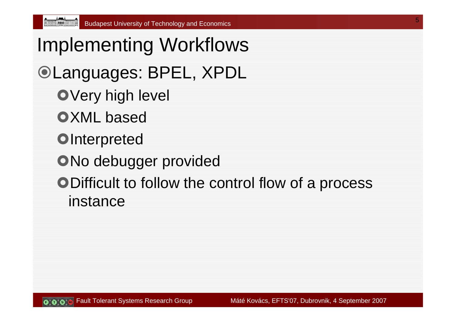Implementing Workflows Languages: BPEL, XPDL **OVery high level OXML** based **OInterpreted ONo debugger provided • Difficult to follow the control flow of a process** instance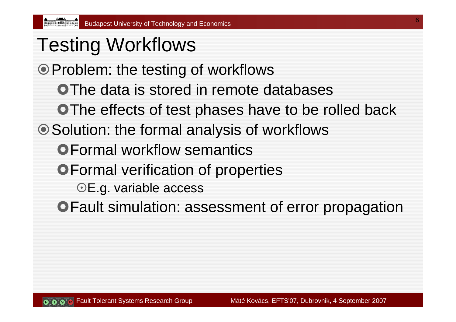#### Testing Workflows

Problem: the testing of workflows

**OThe data is stored in remote databases** 

**OThe effects of test phases have to be rolled back** 

● Solution: the formal analysis of workflows

**OFormal workflow semantics** 

**• Formal verification of properties** 

OE.g. variable access

**OFault simulation: assessment of error propagation**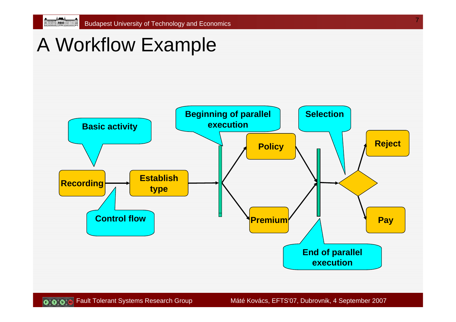## A Workflow Example

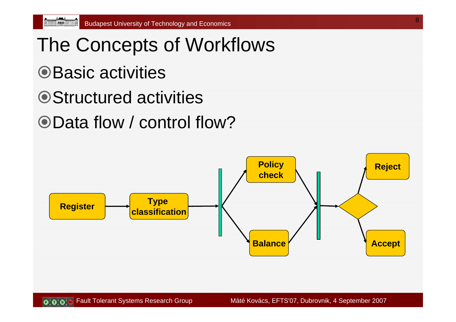**Albert Constitution Constitution** 

- The Concepts of Workflows **OBasic activities ■ Structured activities**
- Data flow / control flow?

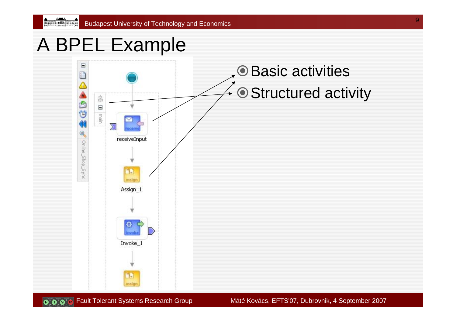#### A BPEL Example



 $\left[\mathbf{Q}^{\lambda}_{\mu}\mathbf{Q}^{\lambda}_{\nu}\mathbf{Q}^{\lambda}_{\nu}\mathbf{B}\right]$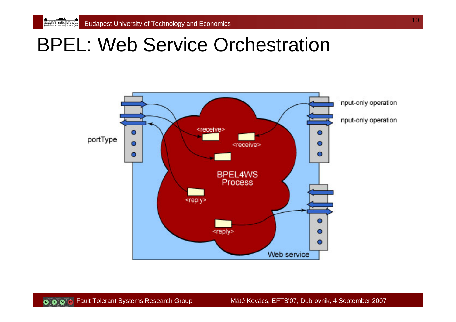**A A A A A A A A A A A A A A A A A A** 

#### BPEL: Web Service Orchestration



 $\left[\begin{matrix} 0\\ 0\\ 0\\ 0\end{matrix}\right]$ 

Fault Tolerant Systems Research Group Máté Kovács, EFTS'07, Dubrovnik, 4 September 2007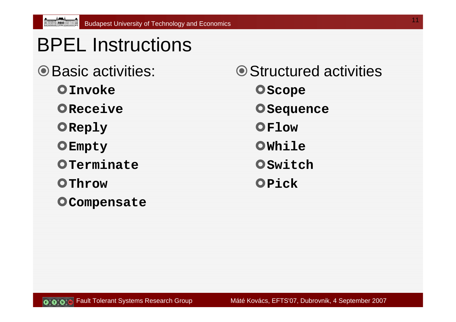## BPEL Instructions

- **O Basic activities:** 
	- }**Invoke**

**Allen Street, Communication** 

- **OReceive**
- }**Reply**
- }**Empty**
- }**Terminate**
- }**Throw**
- **OCompensate**

**■ Structured activities O** Scope **O** Sequence }**Flow**}**While**}**Switch**}**Pick**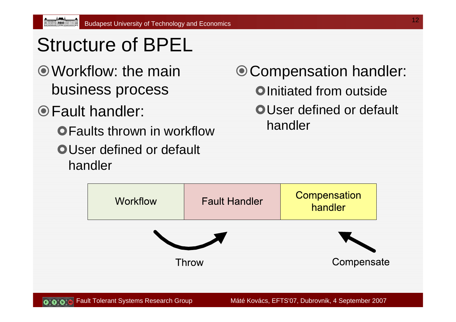# Structure of BPEL

- Workflow: the mainbusiness process
- Fault handler:

000

- **OFaults thrown in workflow**
- **OUser defined or default** handler

#### Compensation handler:

- **Olnitiated from outside**
- **OUser defined or default** handler

|  | <b>Workflow</b> | <b>Fault Handler</b> | Compensation<br>handler |  |
|--|-----------------|----------------------|-------------------------|--|
|  |                 |                      |                         |  |
|  | <b>Throw</b>    |                      | Compensate              |  |
|  |                 |                      |                         |  |

Fault Tolerant Systems Research Group Máté Kovács, EFTS'07, Dubrovnik, 4 September 2007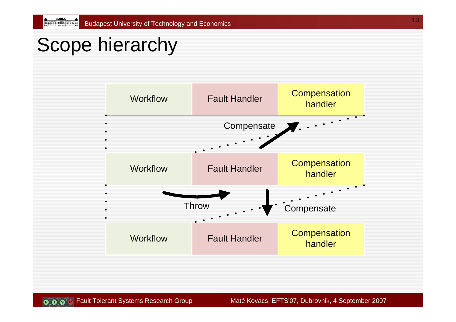## Scope hierarchy

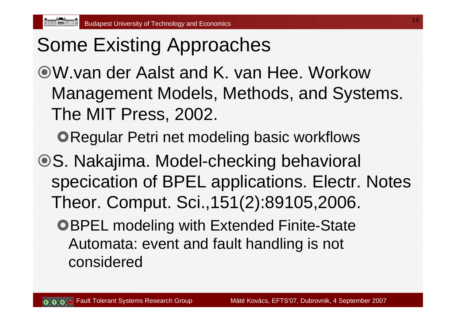#### Some Existing Approaches

W.van der Aalst and K. van Hee. WorkowManagement Models, Methods, and Systems. The MIT Press, 2002.

**ORegular Petri net modeling basic workflows** 

- S. Nakajima. Model-checking behavioral specication of BPEL applications. Electr. Notes Theor. Comput. Sci.,151(2):89105,2006.
	- **OBPEL modeling with Extended Finite-State** Automata: event and fault handling is not considered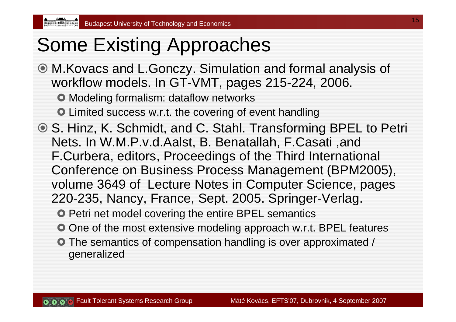#### Some Existing Approaches

 M.Kovacs and L.Gonczy. Simulation and formal analysis of workflow models. In GT-VMT, pages 215-224, 2006.

 $\bullet$  Modeling formalism: dataflow networks

**• Limited success w.r.t. the covering of event handling** 

**◎ S. Hinz, K. Schmidt, and C. Stahl. Transforming BPEL to Petri** Nets. In W.M.P.v.d.Aalst, B. Benatallah, F.Casati ,and F.Curbera, editors, Proceedings of the Third International Conference on Business Process Management (BPM2005), volume 3649 of Lecture Notes in Computer Science, pages 220-235, Nancy, France, Sept. 2005. Springer-Verlag.

**• Petri net model covering the entire BPEL semantics** 

- $\bullet$  One of the most extensive modeling approach w.r.t. BPEL features
- **The semantics of compensation handling is over approximated /** generalized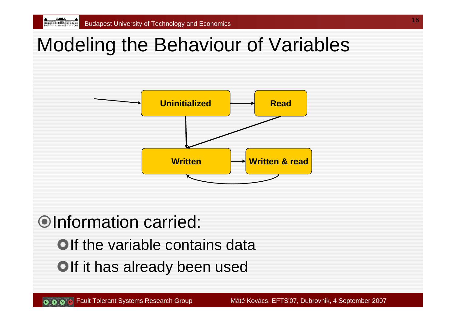## Modeling the Behaviour of Variables



#### Information carried:

- **Olf the variable contains data**
- **Olf it has already been used**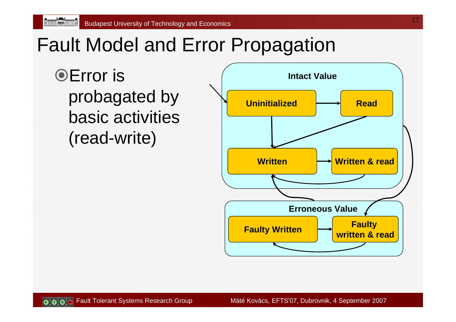## Fault Model and Error Propagation

**OError** is probagated by basic activities (read-write)

**Allen Allen Company Company** 



0.0.0

Fault Tolerant Systems Research Group Máté Kovács, EFTS'07, Dubrovnik, 4 September 2007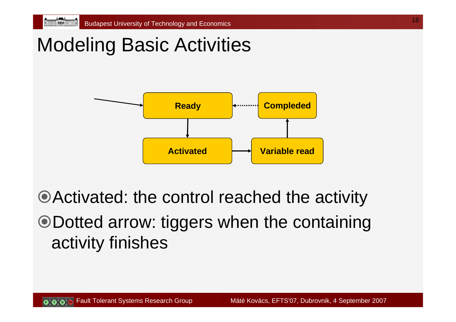#### Modeling Basic Activities



Activated: the control reached the activity Dotted arrow: tiggers when the containing activity finishes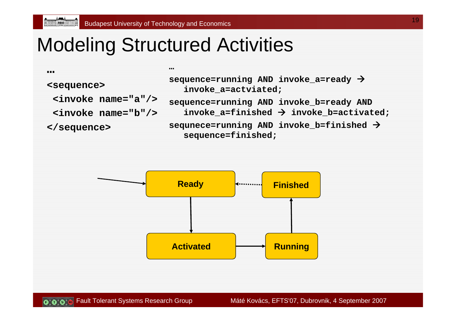#### Modeling Structured Activities

**…**

**<sequence>**

**…**

**<invoke name="a"/>**

**<invoke name="b"/>**

**</sequence>**

**sequence=running AND invoke\_a=ready** Æ **invoke\_a=actviated; sequence=running AND invoke\_b=ready AND invoke\_a=finished** Æ **invoke\_b=activated; sequnece=running AND invoke\_b=finished** Æ **sequence=finished;**

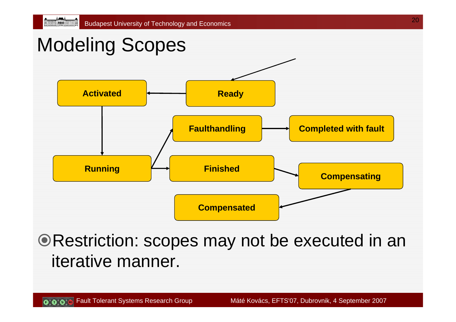## Modeling Scopes



**ORestriction: scopes may not be executed in an** iterative manner.

20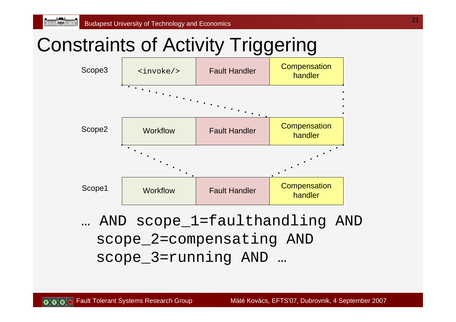## Constraints of Activity Triggering



scope\_2=compensating AND scope\_3=running AND …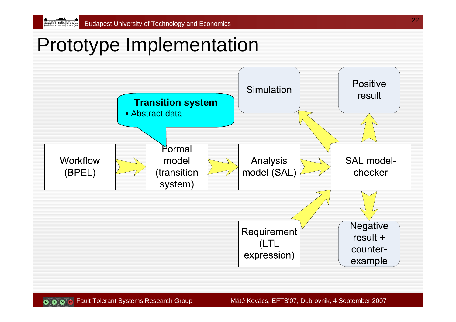**Representative Communication** 

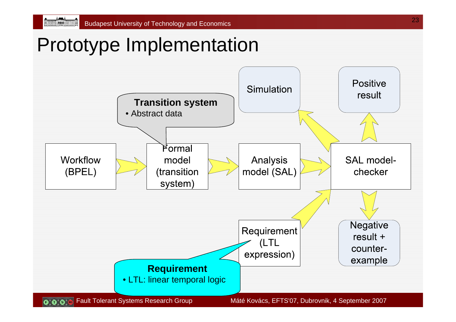**Armour: 1000 Francou** 

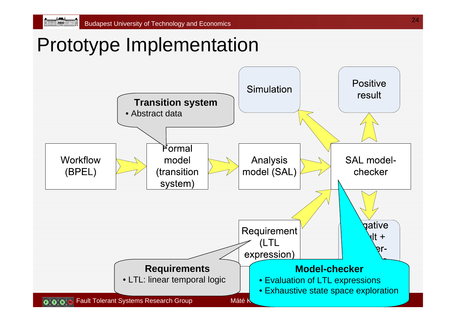An recording : **[1000]** : (A)

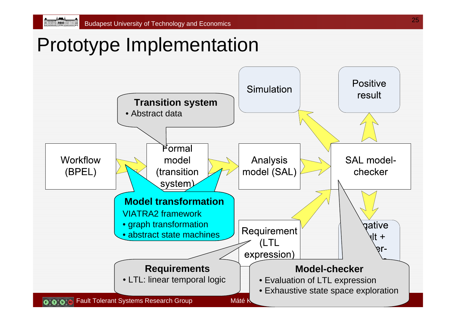![](_page_24_Figure_2.jpeg)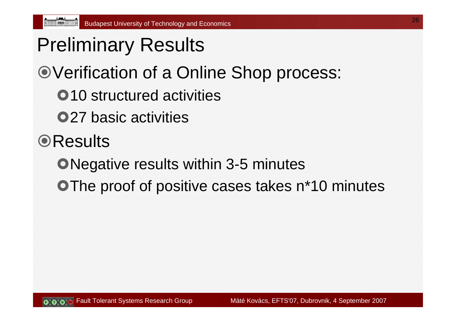- Preliminary Results
- Verification of a Online Shop process:
	- **•10** structured activities
	- **•27 basic activities**
- **OResults** 
	- **Negative results within 3-5 minutes**
	- **OThe proof of positive cases takes n\*10 minutes**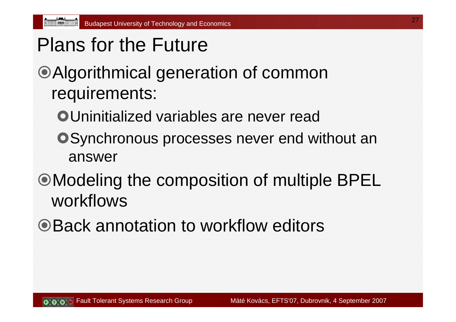Plans for the Future

#### Algorithmical generation of common requirements:

- **OUninitialized variables are never read**
- **OSynchronous processes never end without an** answer
- Modeling the composition of multiple BPEL workflows
- Back annotation to workflow editors